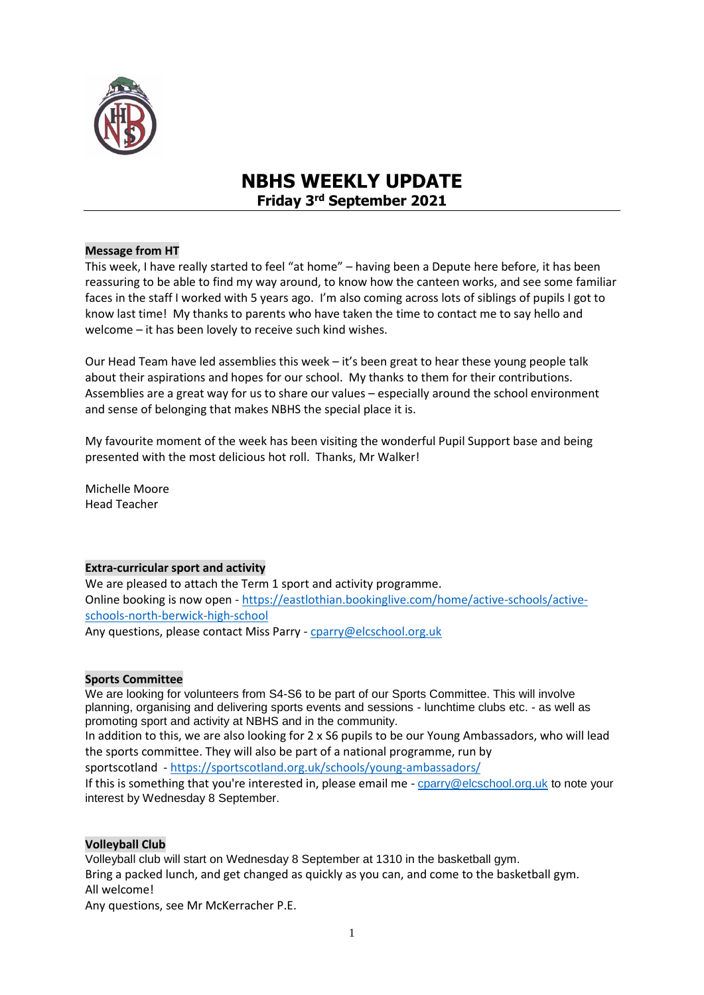

# **NBHS WEEKLY UPDATE Friday 3 rd September 2021**

# **Message from HT**

This week, I have really started to feel "at home" – having been a Depute here before, it has been reassuring to be able to find my way around, to know how the canteen works, and see some familiar faces in the staff I worked with 5 years ago. I'm also coming across lots of siblings of pupils I got to know last time! My thanks to parents who have taken the time to contact me to say hello and welcome – it has been lovely to receive such kind wishes.

Our Head Team have led assemblies this week – it's been great to hear these young people talk about their aspirations and hopes for our school. My thanks to them for their contributions. Assemblies are a great way for us to share our values – especially around the school environment and sense of belonging that makes NBHS the special place it is.

My favourite moment of the week has been visiting the wonderful Pupil Support base and being presented with the most delicious hot roll. Thanks, Mr Walker!

Michelle Moore Head Teacher

## **Extra-curricular sport and activity**

We are pleased to attach the Term 1 sport and activity programme. Online booking is now open - [https://eastlothian.bookinglive.com/home/active-schools/active](https://eastlothian.bookinglive.com/home/active-schools/active-schools-north-berwick-high-school)[schools-north-berwick-high-school](https://eastlothian.bookinglive.com/home/active-schools/active-schools-north-berwick-high-school) Any questions, please contact Miss Parry - [cparry@elcschool.org.uk](mailto:cparry@elcschool.org.uk)

## **Sports Committee**

We are looking for volunteers from S4-S6 to be part of our Sports Committee. This will involve planning, organising and delivering sports events and sessions - lunchtime clubs etc. - as well as promoting sport and activity at NBHS and in the community.

In addition to this, we are also looking for 2 x S6 pupils to be our Young Ambassadors, who will lead the sports committee. They will also be part of a national programme, run by

sportscotland - <https://sportscotland.org.uk/schools/young-ambassadors/>

If this is something that you're interested in, please email me - [cparry@elcschool.org.uk](https://mail.google.com/mail/?view=cm&fs=1&to=cparry%40elcschool.org.uk&authuser=0) to note your interest by Wednesday 8 September.

## **Volleyball Club**

Volleyball club will start on Wednesday 8 September at 1310 in the basketball gym. Bring a packed lunch, and get changed as quickly as you can, and come to the basketball gym. All welcome!

Any questions, see Mr McKerracher P.E.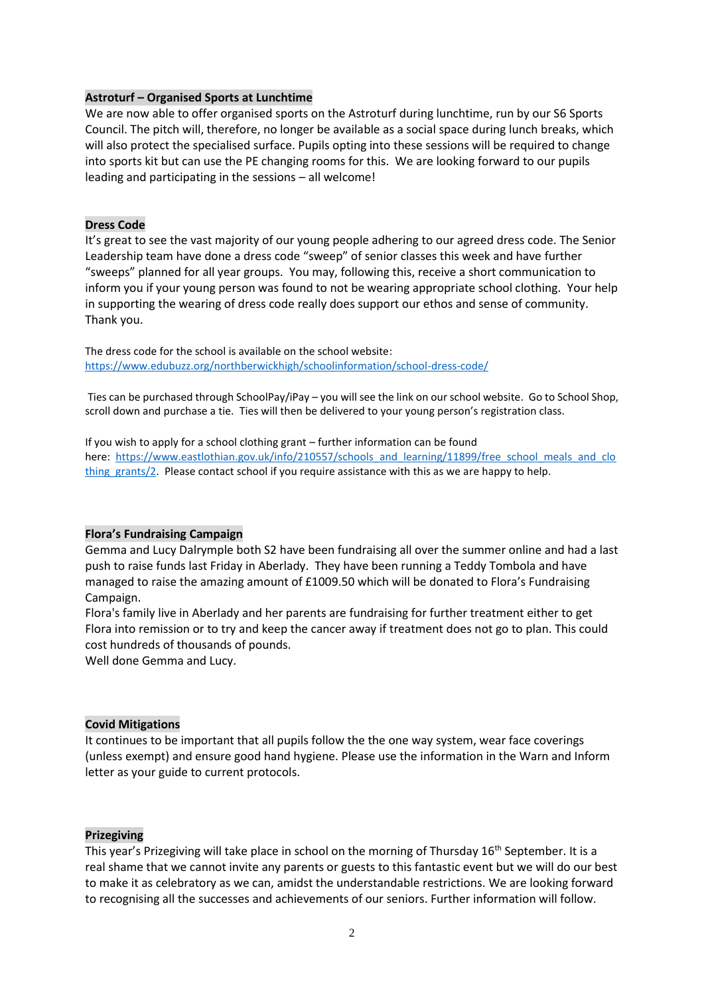## **Astroturf – Organised Sports at Lunchtime**

We are now able to offer organised sports on the Astroturf during lunchtime, run by our S6 Sports Council. The pitch will, therefore, no longer be available as a social space during lunch breaks, which will also protect the specialised surface. Pupils opting into these sessions will be required to change into sports kit but can use the PE changing rooms for this. We are looking forward to our pupils leading and participating in the sessions – all welcome!

#### **Dress Code**

It's great to see the vast majority of our young people adhering to our agreed dress code. The Senior Leadership team have done a dress code "sweep" of senior classes this week and have further "sweeps" planned for all year groups. You may, following this, receive a short communication to inform you if your young person was found to not be wearing appropriate school clothing. Your help in supporting the wearing of dress code really does support our ethos and sense of community. Thank you.

The dress code for the school is available on the school website: [https://www.edubuzz.org/northberwickhigh/schoolinformation/school-dress-code/](http://email.groupcallalert.com/ls/click?upn=QrOBJcca7DQpcdTvZvGK8bdwWm4YaVB8TN5G4CE2r-2Fz8jfRlgyBR-2BTyrT7tzki2tePBOv-2FML-2BbNtrG71sWszsUkvo62gHsLOX8ynP-2F2rfzonhyg-2FGBgFps0klMZMQcPB7hOF_DP9rNqXErB-2Bamsn0-2BYsNRfTwBEw8JlJLeunoRz-2BUoJ13VmiNgW7XHgMt-2BMcN9BLx4umJ32SPhLt1JPKngrzqfxuaZmDCMxmoW4MNutSdlYwCi83yoEEsA5eK8Gun83-2BlglKryEVoRz8gWNNF8nRQbS98PRZb-2FQFc2IT6zDzFKLwmf0RkEJ9-2B3MeHYX-2FsvkhbykOnU2SDf43dqWIyshnRVs1I8mg8GnlI7wD6DnDmkqchLjoK1CRjpHZg1EHrgExFe7KmtGML7vERSQpFYYuH-2BEKiGKNqeetKRZ3ARezDI5QDiFdp5ZTFaxAxG6pHvACVP4PQ3g6afIau01uvpUNQ5oGCIMxoIeDiWm34ZmsofDmbxMaNUYlgleY3zcyIxlCwfEGHyok3-2FVlWESnQLWPGZYhYtlQfONbuhv2kXtkzRJM-3D)

Ties can be purchased through SchoolPay/iPay – you will see the link on our school website. Go to School Shop, scroll down and purchase a tie. Ties will then be delivered to your young person's registration class.

If you wish to apply for a school clothing grant – further information can be found here: [https://www.eastlothian.gov.uk/info/210557/schools\\_and\\_learning/11899/free\\_school\\_meals\\_and\\_clo](http://email.groupcallalert.com/ls/click?upn=QrOBJcca7DQpcdTvZvGK8Q3LigjI-2BDK6Jz8dNjwkxNDyVEI1SdbDQFk3hwWco1vqwo0q0NAycjGjuMVeqQNplt2pTyz8ol4zBPzc9a1mvcGYm6e-2FJZ4hsmKTkUrOkVzT07rtmFeidaee3iGlcs6QNaUk9-2FLEKp02by162eyfITo-3DMmAe_DP9rNqXErB-2Bamsn0-2BYsNRfTwBEw8JlJLeunoRz-2BUoJ13VmiNgW7XHgMt-2BMcN9BLx4umJ32SPhLt1JPKngrzqfxuaZmDCMxmoW4MNutSdlYwCi83yoEEsA5eK8Gun83-2BlglKryEVoRz8gWNNF8nRQbS98PRZb-2FQFc2IT6zDzFKLwmf0RkEJ9-2B3MeHYX-2FsvkhbykOnU2SDf43dqWIyshnRVs1I8mg8GnlI7wD6DnDmkqchLjoK1CRjpHZg1EHrgExFe7KmtGML7vERSQpFYYuH-2BOKO8Z0Rvfwt3xtZ97AWqw4L8UxFp8xQXxAc8-2Ft4qmr2NR9vmzYg7j5f0ebzb0UrXXB6R-2BpwcIAC8vla9VaVv-2FCESloqaI2NPEvNmkGw-2B6Rgcr0ILl0m1tBE-2F79GQmbt7I8lHcpUPUJz1R1Gk9V7UQo-3D) thing grants/2. Please contact school if you require assistance with this as we are happy to help.

#### **Flora's Fundraising Campaign**

Gemma and Lucy Dalrymple both S2 have been fundraising all over the summer online and had a last push to raise funds last Friday in Aberlady. They have been running a Teddy Tombola and have managed to raise the amazing amount of £1009.50 which will be donated to Flora's Fundraising Campaign.

Flora's family live in Aberlady and her parents are fundraising for further treatment either to get Flora into remission or to try and keep the cancer away if treatment does not go to plan. This could cost hundreds of thousands of pounds.

Well done Gemma and Lucy.

#### **Covid Mitigations**

It continues to be important that all pupils follow the the one way system, wear face coverings (unless exempt) and ensure good hand hygiene. Please use the information in the Warn and Inform letter as your guide to current protocols.

#### **Prizegiving**

This year's Prizegiving will take place in school on the morning of Thursday 16<sup>th</sup> September. It is a real shame that we cannot invite any parents or guests to this fantastic event but we will do our best to make it as celebratory as we can, amidst the understandable restrictions. We are looking forward to recognising all the successes and achievements of our seniors. Further information will follow.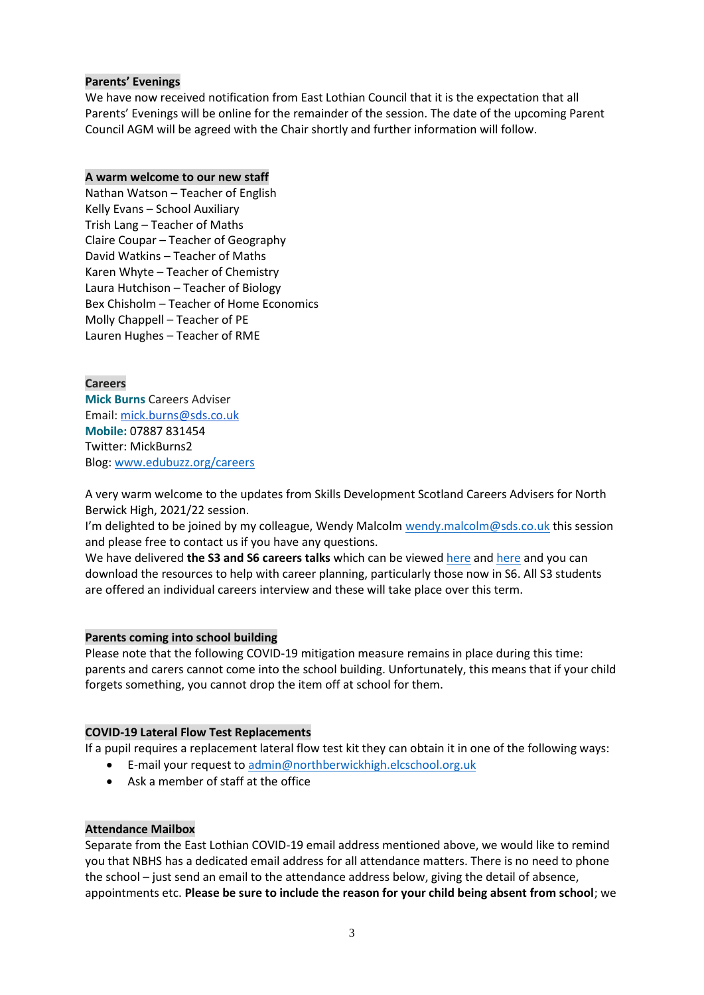# **Parents' Evenings**

We have now received notification from East Lothian Council that it is the expectation that all Parents' Evenings will be online for the remainder of the session. The date of the upcoming Parent Council AGM will be agreed with the Chair shortly and further information will follow.

## **A warm welcome to our new staff**

Nathan Watson – Teacher of English Kelly Evans – School Auxiliary Trish Lang – Teacher of Maths Claire Coupar – Teacher of Geography David Watkins – Teacher of Maths Karen Whyte – Teacher of Chemistry Laura Hutchison – Teacher of Biology Bex Chisholm – Teacher of Home Economics Molly Chappell – Teacher of PE Lauren Hughes – Teacher of RME

## **Careers**

**Mick Burns** Careers Adviser Email: [mick.burns@sds.co.uk](https://mail.elcschool.org.uk/owa/redir.aspx?C=fbGa3DGVrsUoQB2CnJP23eXwMGzxu7J1CtarT6dTOwkq_NlpJujXCA..&URL=mailto%3amick.burns%40sds.co.uk) **Mobile:** 07887 831454 Twitter: MickBurns2 Blog: [www.edubuzz.org/careers](http://www.edubuzz.org/careers)

A very warm welcome to the updates from Skills Development Scotland Careers Advisers for North Berwick High, 2021/22 session.

I'm delighted to be joined by my colleague, Wendy Malcolm [wendy.malcolm@sds.co.uk](mailto:wendy.malcolm@sds.co.uk) this session and please free to contact us if you have any questions.

We have delivered **the S3 and S6 careers talks** which can be viewe[d here](https://www.edubuzz.org/careers/2021/05/12/s3-careers-talk-june-2021/) and [here](https://www.edubuzz.org/careers/2021/06/10/s6-careers-talk-june-2021/) and you can download the resources to help with career planning, particularly those now in S6. All S3 students are offered an individual careers interview and these will take place over this term.

## **Parents coming into school building**

Please note that the following COVID-19 mitigation measure remains in place during this time: parents and carers cannot come into the school building. Unfortunately, this means that if your child forgets something, you cannot drop the item off at school for them.

## **COVID-19 Lateral Flow Test Replacements**

If a pupil requires a replacement lateral flow test kit they can obtain it in one of the following ways:

- E-mail your request to [admin@northberwickhigh.elcschool.org.uk](mailto:admin@northberwickhigh.elcschool.org.uk)
- Ask a member of staff at the office

## **Attendance Mailbox**

Separate from the East Lothian COVID-19 email address mentioned above, we would like to remind you that NBHS has a dedicated email address for all attendance matters. There is no need to phone the school – just send an email to the attendance address below, giving the detail of absence, appointments etc. **Please be sure to include the reason for your child being absent from school**; we